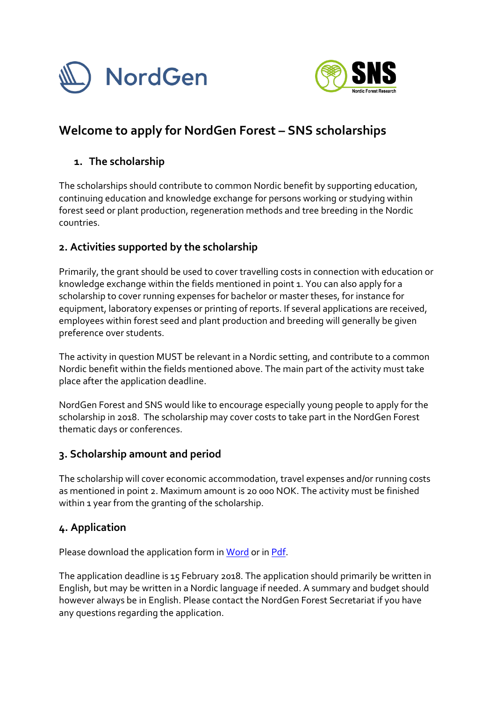



# **Welcome to apply for NordGen Forest – SNS scholarships**

#### **1. The scholarship**

The scholarships should contribute to common Nordic benefit by supporting education, continuing education and knowledge exchange for persons working or studying within forest seed or plant production, regeneration methods and tree breeding in the Nordic countries.

### **2. Activities supported by the scholarship**

Primarily, the grant should be used to cover travelling costs in connection with education or knowledge exchange within the fields mentioned in point 1. You can also apply for a scholarship to cover running expenses for bachelor or master theses, for instance for equipment, laboratory expenses or printing of reports. If several applications are received, employees within forest seed and plant production and breeding will generally be given preference over students.

The activity in question MUST be relevant in a Nordic setting, and contribute to a common Nordic benefit within the fields mentioned above. The main part of the activity must take place after the application deadline.

NordGen Forest and SNS would like to encourage especially young people to apply for the scholarship in 2018. The scholarship may cover costs to take part in the NordGen Forest thematic days or conferences.

#### **3. Scholarship amount and period**

The scholarship will cover economic accommodation, travel expenses and/or running costs as mentioned in point 2. Maximum amount is 20 000 NOK. The activity must be finished within 1 year from the granting of the scholarship.

#### **4. Application**

Please download the application form i[n Word](https://www.nordgen.org/ngdoc/forest/Stipendier/2018/NordGenForest-SNS-Scholarships_Applicationform_2018.docx) or i[n Pdf.](https://www.nordgen.org/ngdoc/forest/Stipendier/2018/NordGenForest-SNS-Scholarships_Applicationform_2018.pdf)

The application deadline is 15 February 2018. The application should primarily be written in English, but may be written in a Nordic language if needed. A summary and budget should however always be in English. Please contact the NordGen Forest Secretariat if you have any questions regarding the application.